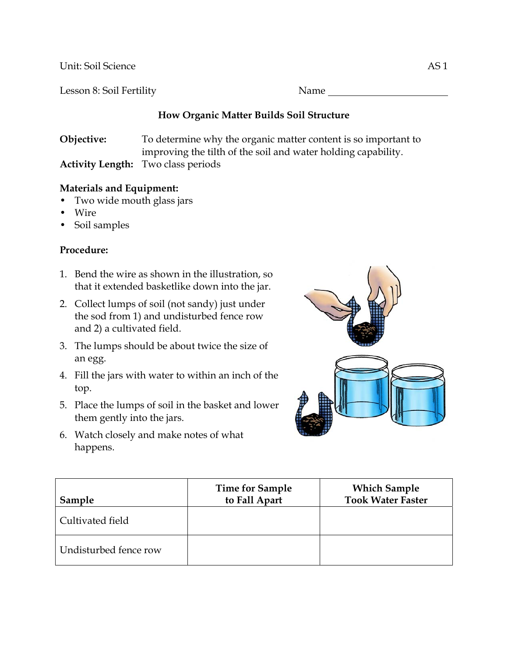Unit: Soil Science AS 1

Lesson 8: Soil Fertility Name Name

# **How Organic Matter Builds Soil Structure**

**Objective:** To determine why the organic matter content is so important to improving the tilth of the soil and water holding capability. **Activity Length:** Two class periods

# **Materials and Equipment:**

- Two wide mouth glass jars
- Wire
- Soil samples

## **Procedure:**

- 1. Bend the wire as shown in the illustration, so that it extended basketlike down into the jar.
- 2. Collect lumps of soil (not sandy) just under the sod from 1) and undisturbed fence row and 2) a cultivated field.
- 3. The lumps should be about twice the size of an egg.
- 4. Fill the jars with water to within an inch of the top.
- 5. Place the lumps of soil in the basket and lower them gently into the jars.
- 6. Watch closely and make notes of what happens.



| Sample                | <b>Time for Sample</b><br>to Fall Apart | <b>Which Sample</b><br><b>Took Water Faster</b> |
|-----------------------|-----------------------------------------|-------------------------------------------------|
| Cultivated field      |                                         |                                                 |
| Undisturbed fence row |                                         |                                                 |